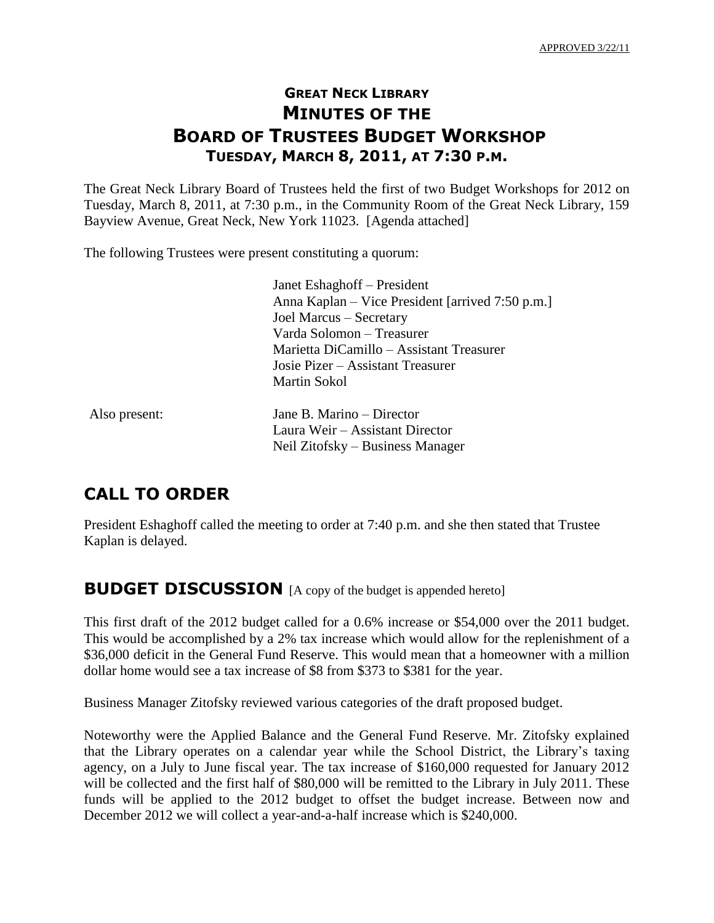### **GREAT NECK LIBRARY MINUTES OF THE BOARD OF TRUSTEES BUDGET WORKSHOP TUESDAY, MARCH 8, 2011, AT 7:30 P.M.**

The Great Neck Library Board of Trustees held the first of two Budget Workshops for 2012 on Tuesday, March 8, 2011, at 7:30 p.m., in the Community Room of the Great Neck Library, 159 Bayview Avenue, Great Neck, New York 11023. [Agenda attached]

The following Trustees were present constituting a quorum:

Janet Eshaghoff – President Anna Kaplan – Vice President [arrived 7:50 p.m.] Joel Marcus – Secretary Varda Solomon – Treasurer Marietta DiCamillo – Assistant Treasurer Josie Pizer – Assistant Treasurer Martin Sokol

Also present: Jane B. Marino – Director Laura Weir – Assistant Director Neil Zitofsky – Business Manager

# **CALL TO ORDER**

President Eshaghoff called the meeting to order at 7:40 p.m. and she then stated that Trustee Kaplan is delayed.

#### **BUDGET DISCUSSION** [A copy of the budget is appended hereto]

This first draft of the 2012 budget called for a 0.6% increase or \$54,000 over the 2011 budget. This would be accomplished by a 2% tax increase which would allow for the replenishment of a \$36,000 deficit in the General Fund Reserve. This would mean that a homeowner with a million dollar home would see a tax increase of \$8 from \$373 to \$381 for the year.

Business Manager Zitofsky reviewed various categories of the draft proposed budget.

Noteworthy were the Applied Balance and the General Fund Reserve. Mr. Zitofsky explained that the Library operates on a calendar year while the School District, the Library's taxing agency, on a July to June fiscal year. The tax increase of \$160,000 requested for January 2012 will be collected and the first half of \$80,000 will be remitted to the Library in July 2011. These funds will be applied to the 2012 budget to offset the budget increase. Between now and December 2012 we will collect a year-and-a-half increase which is \$240,000.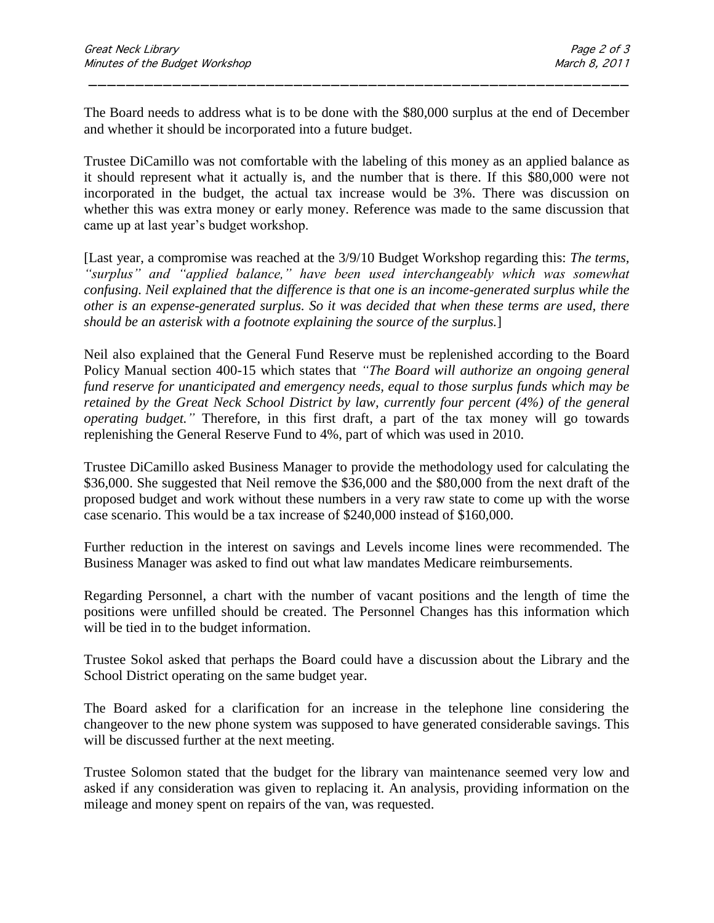The Board needs to address what is to be done with the \$80,000 surplus at the end of December and whether it should be incorporated into a future budget.

\_\_\_\_\_\_\_\_\_\_\_\_\_\_\_\_\_\_\_\_\_\_\_\_\_\_\_\_\_\_\_\_\_\_\_\_\_\_\_\_\_\_\_\_\_\_\_\_\_\_\_\_\_\_\_\_\_\_

Trustee DiCamillo was not comfortable with the labeling of this money as an applied balance as it should represent what it actually is, and the number that is there. If this \$80,000 were not incorporated in the budget, the actual tax increase would be 3%. There was discussion on whether this was extra money or early money. Reference was made to the same discussion that came up at last year's budget workshop.

[Last year, a compromise was reached at the 3/9/10 Budget Workshop regarding this: *The terms,*  "surplus" and "applied balance," have been used interchangeably which was somewhat *confusing. Neil explained that the difference is that one is an income-generated surplus while the other is an expense-generated surplus. So it was decided that when these terms are used, there should be an asterisk with a footnote explaining the source of the surplus.*]

Neil also explained that the General Fund Reserve must be replenished according to the Board Policy Manual section 400-15 which states that *"The Board will authorize an ongoing general fund reserve for unanticipated and emergency needs, equal to those surplus funds which may be retained by the Great Neck School District by law, currently four percent (4%) of the general operating budget."* Therefore, in this first draft, a part of the tax money will go towards replenishing the General Reserve Fund to 4%, part of which was used in 2010.

Trustee DiCamillo asked Business Manager to provide the methodology used for calculating the \$36,000. She suggested that Neil remove the \$36,000 and the \$80,000 from the next draft of the proposed budget and work without these numbers in a very raw state to come up with the worse case scenario. This would be a tax increase of \$240,000 instead of \$160,000.

Further reduction in the interest on savings and Levels income lines were recommended. The Business Manager was asked to find out what law mandates Medicare reimbursements.

Regarding Personnel, a chart with the number of vacant positions and the length of time the positions were unfilled should be created. The Personnel Changes has this information which will be tied in to the budget information.

Trustee Sokol asked that perhaps the Board could have a discussion about the Library and the School District operating on the same budget year.

The Board asked for a clarification for an increase in the telephone line considering the changeover to the new phone system was supposed to have generated considerable savings. This will be discussed further at the next meeting.

Trustee Solomon stated that the budget for the library van maintenance seemed very low and asked if any consideration was given to replacing it. An analysis, providing information on the mileage and money spent on repairs of the van, was requested.